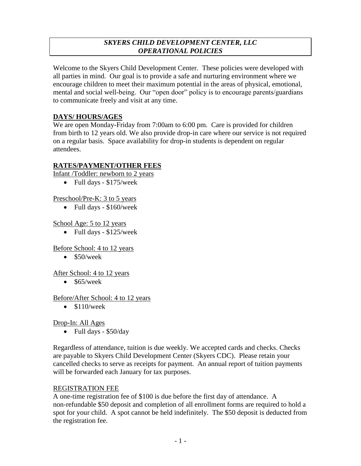### *SKYERS CHILD DEVELOPMENT CENTER, LLC OPERATIONAL POLICIES*

Welcome to the Skyers Child Development Center. These policies were developed with all parties in mind. Our goal is to provide a safe and nurturing environment where we encourage children to meet their maximum potential in the areas of physical, emotional, mental and social well-being. Our "open door" policy is to encourage parents/guardians to communicate freely and visit at any time.

## **DAYS/ HOURS/AGES**

We are open Monday-Friday from 7:00am to 6:00 pm*.* Care is provided for children from birth to 12 years old. We also provide drop-in care where our service is not required on a regular basis. Space availability for drop-in students is dependent on regular attendees.

## **RATES/PAYMENT/OTHER FEES**

Infant /Toddler: newborn to 2 years

Full days - \$175/week

### Preschool/Pre-K: 3 to 5 years

Full days - \$160/week

School Age: 5 to 12 years

• Full days  $-$  \$125/week

### Before School: 4 to 12 years

 $\bullet$  \$50/week

### After School: 4 to 12 years

 $\bullet$  \$65/week

### Before/After School: 4 to 12 years

 $\bullet$  \$110/week

### Drop-In: All Ages

• Full days - \$50/day

Regardless of attendance, tuition is due weekly. We accepted cards and checks. Checks are payable to Skyers Child Development Center (Skyers CDC). Please retain your cancelled checks to serve as receipts for payment. An annual report of tuition payments will be forwarded each January for tax purposes.

#### REGISTRATION FEE

A one-time registration fee of \$100 is due before the first day of attendance. A non-refundable \$50 deposit and completion of all enrollment forms are required to hold a spot for your child. A spot cannot be held indefinitely. The \$50 deposit is deducted from the registration fee.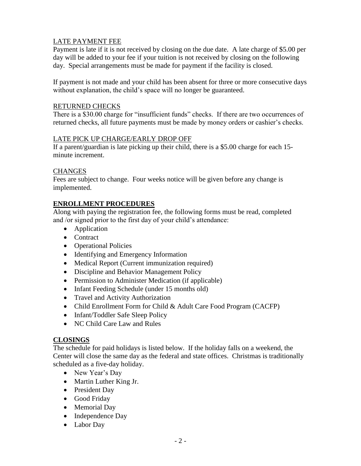## LATE PAYMENT FEE

Payment is late if it is not received by closing on the due date. A late charge of \$5.00 per day will be added to your fee if your tuition is not received by closing on the following day. Special arrangements must be made for payment if the facility is closed.

If payment is not made and your child has been absent for three or more consecutive days without explanation, the child's space will no longer be guaranteed.

### RETURNED CHECKS

There is a \$30.00 charge for "insufficient funds" checks. If there are two occurrences of returned checks, all future payments must be made by money orders or cashier's checks.

### LATE PICK UP CHARGE/EARLY DROP OFF

If a parent/guardian is late picking up their child, there is a \$5.00 charge for each 15 minute increment.

### **CHANGES**

Fees are subject to change. Four weeks notice will be given before any change is implemented.

## **ENROLLMENT PROCEDURES**

Along with paying the registration fee, the following forms must be read, completed and /or signed prior to the first day of your child's attendance:

- Application
- Contract
- Operational Policies
- Identifying and Emergency Information
- Medical Report (Current immunization required)
- Discipline and Behavior Management Policy
- Permission to Administer Medication (if applicable)
- Infant Feeding Schedule (under 15 months old)
- Travel and Activity Authorization
- Child Enrollment Form for Child & Adult Care Food Program (CACFP)
- Infant/Toddler Safe Sleep Policy
- NC Child Care Law and Rules

### **CLOSINGS**

The schedule for paid holidays is listed below. If the holiday falls on a weekend, the Center will close the same day as the federal and state offices. Christmas is traditionally scheduled as a five-day holiday.

- New Year's Day
- Martin Luther King Jr.
- President Day
- Good Friday
- Memorial Day
- Independence Day
- Labor Day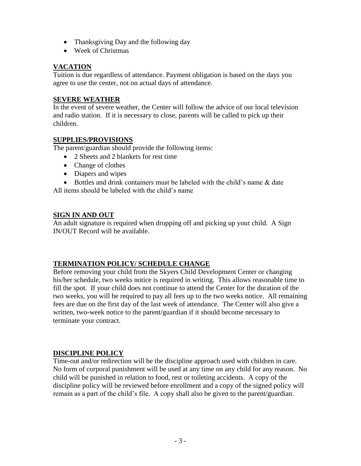- Thanksgiving Day and the following day
- Week of Christmas

# **VACATION**

Tuition is due regardless of attendance. Payment obligation is based on the days you agree to use the center, not on actual days of attendance.

# **SEVERE WEATHER**

In the event of severe weather, the Center will follow the advice of our local television and radio station. If it is necessary to close, parents will be called to pick up their children.

# **SUPPLIES/PROVISIONS**

The parent/guardian should provide the following items:

- 2 Sheets and 2 blankets for rest time
- Change of clothes
- Diapers and wipes
- Bottles and drink containers must be labeled with the child's name & date

All items should be labeled with the child's name

# **SIGN IN AND OUT**

An adult signature is required when dropping off and picking up your child. A Sign IN/OUT Record will be available.

# **TERMINATION POLICY/ SCHEDULE CHANGE**

Before removing your child from the Skyers Child Development Center or changing his/her schedule, two weeks notice is required in writing. This allows reasonable time to fill the spot. If your child does not continue to attend the Center for the duration of the two weeks, you will be required to pay all fees up to the two weeks notice. All remaining fees are due on the first day of the last week of attendance. The Center will also give a written, two-week notice to the parent/guardian if it should become necessary to terminate your contract.

# **DISCIPLINE POLICY**

Time-out and/or redirection will be the discipline approach used with children in care. No form of corporal punishment will be used at any time on any child for any reason. No child will be punished in relation to food, rest or toileting accidents. A copy of the discipline policy will be reviewed before enrollment and a copy of the signed policy will remain as a part of the child's file. A copy shall also be given to the parent/guardian.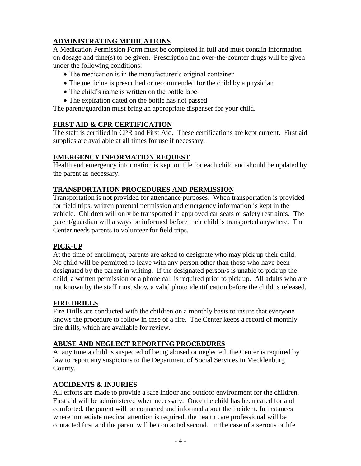# **ADMINISTRATING MEDICATIONS**

A Medication Permission Form must be completed in full and must contain information on dosage and time(s) to be given. Prescription and over-the-counter drugs will be given under the following conditions:

- The medication is in the manufacturer's original container
- The medicine is prescribed or recommended for the child by a physician
- The child's name is written on the bottle label
- The expiration dated on the bottle has not passed

The parent/guardian must bring an appropriate dispenser for your child.

# **FIRST AID & CPR CERTIFICATION**

The staff is certified in CPR and First Aid. These certifications are kept current. First aid supplies are available at all times for use if necessary.

# **EMERGENCY INFORMATION REQUEST**

Health and emergency information is kept on file for each child and should be updated by the parent as necessary.

# **TRANSPORTATION PROCEDURES AND PERMISSION**

Transportation is not provided for attendance purposes. When transportation is provided for field trips, written parental permission and emergency information is kept in the vehicle. Children will only be transported in approved car seats or safety restraints. The parent/guardian will always be informed before their child is transported anywhere. The Center needs parents to volunteer for field trips.

### **PICK-UP**

At the time of enrollment, parents are asked to designate who may pick up their child. No child will be permitted to leave with any person other than those who have been designated by the parent in writing. If the designated person/s is unable to pick up the child, a written permission or a phone call is required prior to pick up. All adults who are not known by the staff must show a valid photo identification before the child is released.

### **FIRE DRILLS**

Fire Drills are conducted with the children on a monthly basis to insure that everyone knows the procedure to follow in case of a fire. The Center keeps a record of monthly fire drills, which are available for review.

### **ABUSE AND NEGLECT REPORTING PROCEDURES**

At any time a child is suspected of being abused or neglected, the Center is required by law to report any suspicions to the Department of Social Services in Mecklenburg County.

# **ACCIDENTS & INJURIES**

All efforts are made to provide a safe indoor and outdoor environment for the children. First aid will be administered when necessary. Once the child has been cared for and comforted, the parent will be contacted and informed about the incident. In instances where immediate medical attention is required, the health care professional will be contacted first and the parent will be contacted second. In the case of a serious or life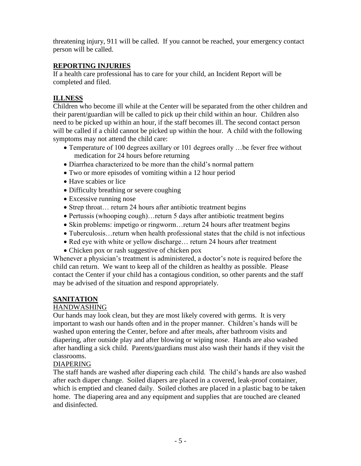threatening injury, 911 will be called. If you cannot be reached, your emergency contact person will be called.

# **REPORTING INJURIES**

If a health care professional has to care for your child, an Incident Report will be completed and filed.

# **ILLNESS**

Children who become ill while at the Center will be separated from the other children and their parent/guardian will be called to pick up their child within an hour. Children also need to be picked up within an hour, if the staff becomes ill. The second contact person will be called if a child cannot be picked up within the hour. A child with the following symptoms may not attend the child care:

- Temperature of 100 degrees axillary or 101 degrees orally …be fever free without medication for 24 hours before returning
- Diarrhea characterized to be more than the child's normal pattern
- Two or more episodes of vomiting within a 12 hour period
- Have scabies or lice
- Difficulty breathing or severe coughing
- Excessive running nose
- Strep throat... return 24 hours after antibiotic treatment begins
- Pertussis (whooping cough)…return 5 days after antibiotic treatment begins
- Skin problems: impetigo or ringworm... return 24 hours after treatment begins
- Tuberculosis…return when health professional states that the child is not infectious
- Red eye with white or yellow discharge... return 24 hours after treatment
- Chicken pox or rash suggestive of chicken pox

Whenever a physician's treatment is administered, a doctor's note is required before the child can return. We want to keep all of the children as healthy as possible. Please contact the Center if your child has a contagious condition, so other parents and the staff may be advised of the situation and respond appropriately.

# **SANITATION**

### HANDWASHING

Our hands may look clean, but they are most likely covered with germs. It is very important to wash our hands often and in the proper manner. Children's hands will be washed upon entering the Center, before and after meals, after bathroom visits and diapering, after outside play and after blowing or wiping nose. Hands are also washed after handling a sick child. Parents/guardians must also wash their hands if they visit the classrooms.

# DIAPERING

The staff hands are washed after diapering each child. The child's hands are also washed after each diaper change. Soiled diapers are placed in a covered, leak-proof container, which is emptied and cleaned daily. Soiled clothes are placed in a plastic bag to be taken home. The diapering area and any equipment and supplies that are touched are cleaned and disinfected.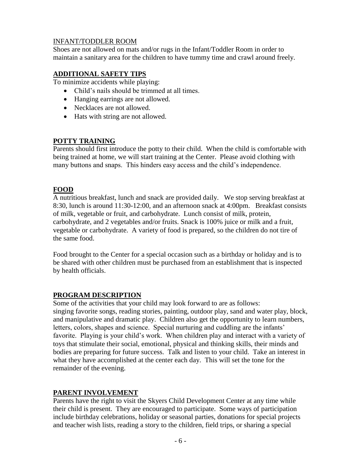### INFANT/TODDLER ROOM

Shoes are not allowed on mats and/or rugs in the Infant/Toddler Room in order to maintain a sanitary area for the children to have tummy time and crawl around freely.

## **ADDITIONAL SAFETY TIPS**

To minimize accidents while playing:

- Child's nails should be trimmed at all times.
- Hanging earrings are not allowed.
- Necklaces are not allowed.
- Hats with string are not allowed.

## **POTTY TRAINING**

Parents should first introduce the potty to their child. When the child is comfortable with being trained at home, we will start training at the Center. Please avoid clothing with many buttons and snaps. This hinders easy access and the child's independence.

## **FOOD**

A nutritious breakfast, lunch and snack are provided daily. We stop serving breakfast at 8:30, lunch is around 11:30-12:00, and an afternoon snack at 4:00pm. Breakfast consists of milk, vegetable or fruit, and carbohydrate. Lunch consist of milk, protein, carbohydrate, and 2 vegetables and/or fruits. Snack is 100% juice or milk and a fruit, vegetable or carbohydrate. A variety of food is prepared, so the children do not tire of the same food.

Food brought to the Center for a special occasion such as a birthday or holiday and is to be shared with other children must be purchased from an establishment that is inspected by health officials.

### **PROGRAM DESCRIPTION**

Some of the activities that your child may look forward to are as follows: singing favorite songs, reading stories, painting, outdoor play, sand and water play, block, and manipulative and dramatic play. Children also get the opportunity to learn numbers, letters, colors, shapes and science. Special nurturing and cuddling are the infants' favorite. Playing is your child's work. When children play and interact with a variety of toys that stimulate their social, emotional, physical and thinking skills, their minds and bodies are preparing for future success. Talk and listen to your child. Take an interest in what they have accomplished at the center each day. This will set the tone for the remainder of the evening.

### **PARENT INVOLVEMENT**

Parents have the right to visit the Skyers Child Development Center at any time while their child is present. They are encouraged to participate. Some ways of participation include birthday celebrations, holiday or seasonal parties, donations for special projects and teacher wish lists, reading a story to the children, field trips, or sharing a special